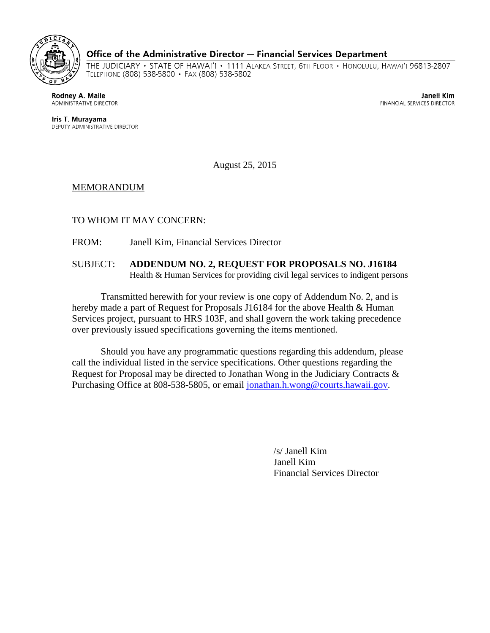

## Office of the Administrative Director - Financial Services Department

THE JUDICIARY • STATE OF HAWAI'I • 1111 ALAKEA STREET, 6TH FLOOR • HONOLULU, HAWAI'I 96813-2807 TELEPHONE (808) 538-5800 · FAX (808) 538-5802

Rodney A. Maile ADMINISTRATIVE DIRECTOR

Janell Kim FINANCIAL SERVICES DIRECTOR

Iris T. Murayama DEPUTY ADMINISTRATIVE DIRECTOR

August 25, 2015

## MEMORANDUM

TO WHOM IT MAY CONCERN:

FROM: Janell Kim, Financial Services Director

SUBJECT: **ADDENDUM NO. 2, REQUEST FOR PROPOSALS NO. J16184**  Health & Human Services for providing civil legal services to indigent persons

Transmitted herewith for your review is one copy of Addendum No. 2, and is hereby made a part of Request for Proposals J16184 for the above Health & Human Services project, pursuant to HRS 103F, and shall govern the work taking precedence over previously issued specifications governing the items mentioned.

Should you have any programmatic questions regarding this addendum, please call the individual listed in the service specifications. Other questions regarding the Request for Proposal may be directed to Jonathan Wong in the Judiciary Contracts & Purchasing Office at 808-538-5805, or email jonathan.h.wong@courts.hawaii.gov.

 /s/ Janell Kim Janell Kim Financial Services Director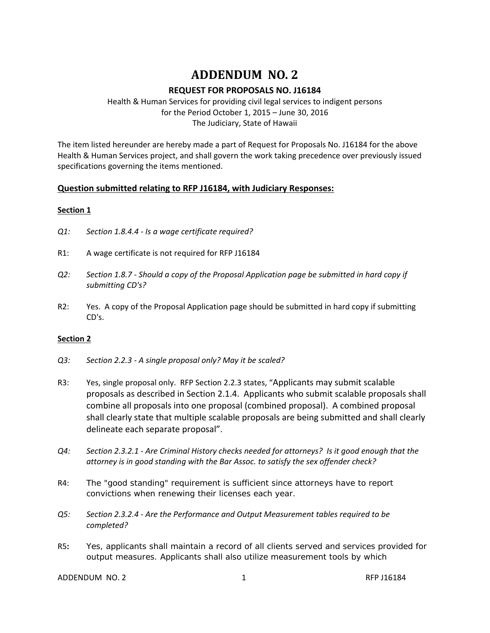# **ADDENDUM NO. 2**

# **REQUEST FOR PROPOSALS NO. J16184**

 Health & Human Services for providing civil legal services to indigent persons for the Period October 1, 2015 – June 30, 2016 The Judiciary, State of Hawaii

 The item listed hereunder are hereby made a part of Request for Proposals No. J16184 for the above Health & Human Services project, and shall govern the work taking precedence over previously issued specifications governing the items mentioned.

# **Question submitted relating to RFP J16184, with Judiciary Responses:**

## **Section 1**

- *Q1: Section 1.8.4.4 ‐ Is a wage certificate required?*
- R1: A wage certificate is not required for RFP J16184
- Q2: Section 1.8.7 Should a copy of the Proposal Application page be submitted in hard copy if  *submitting CD's?*
- R2: Yes. A copy of the Proposal Application page should be submitted in hard copy if submitting CD's.

#### **Section 2**

- *Q3: Section 2.2.3 ‐ A single proposal only? May it be scaled?*
- R3: Yes, single proposal only. RFP Section 2.2.3 states, "Applicants may submit scalable proposals as described in Section 2.1.4. Applicants who submit scalable proposals shall combine all proposals into one proposal (combined proposal). A combined proposal shall clearly state that multiple scalable proposals are being submitted and shall clearly delineate each separate proposal".
- Q4: Section 2.3.2.1 Are Criminal History checks needed for attorneys? Is it good enough that the attorney is in good standing with the Bar Assoc. to satisfy the sex offender check?
- R4: The "good standing" requirement is sufficient since attorneys have to report convictions when renewing their licenses each year.
- Q5: Section 2.3.2.4 Are the Performance and Output Measurement tables required to be  *completed?*
- output measures. Applicants shall also utilize measurement tools by which R5**:** Yes, applicants shall maintain a record of all clients served and services provided for

ADDENDUM NO. 2